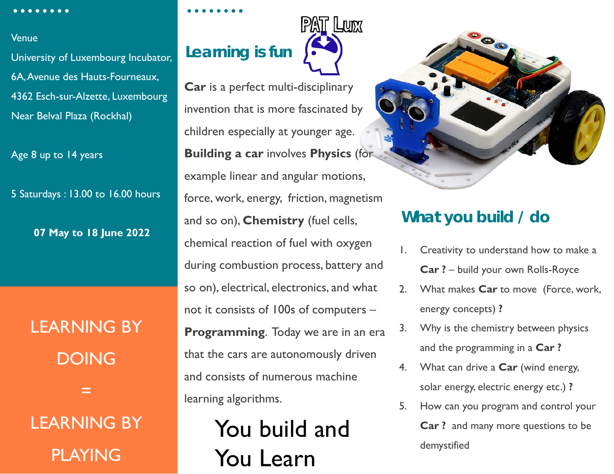#### Venue

University of Luxembourg Incubator, 6A, Avenue des Hauts-Fourneaux, 4362 Esch-sur-Alzette, Luxembourg Near Belval Plaza (Rockhal)

Age 8 up to 14 years

5 Saturdays : 13.00 to 16.00 hours

**07 May to 18 June 2022**

LEARNING BY DOING =

LEARNING BY PLAYING

## **Learning is fun**



**Car** is a perfect multi-disciplinary invention that is more fascinated by children especially at younger age. **Building a car** involves **Physics** (for example linear and angular motions, force, work, energy, friction, magnetism and so on), **Chemistry** (fuel cells, chemical reaction of fuel with oxygen during combustion process, battery and so on), electrical, electronics, and what not it consists of 100s of computers – **Programming**. Today we are in an era that the cars are autonomously driven and consists of numerous machine learning algorithms.

### You build and You Learn



#### **What you build / do**

- Creativity to understand how to make a **Car ?** – build your own Rolls-Royce
- 2. What makes **Car** to move (Force, work, energy concepts) **?**
- 3. Why is the chemistry between physics and the programming in a **Car ?**
- 4. What can drive a **Car** (wind energy, solar energy, electric energy etc.) **?**
- 5. How can you program and control your **Car ?** and many more questions to be demystified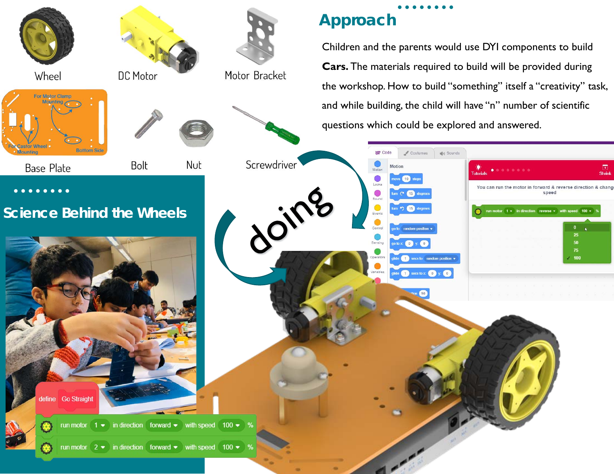